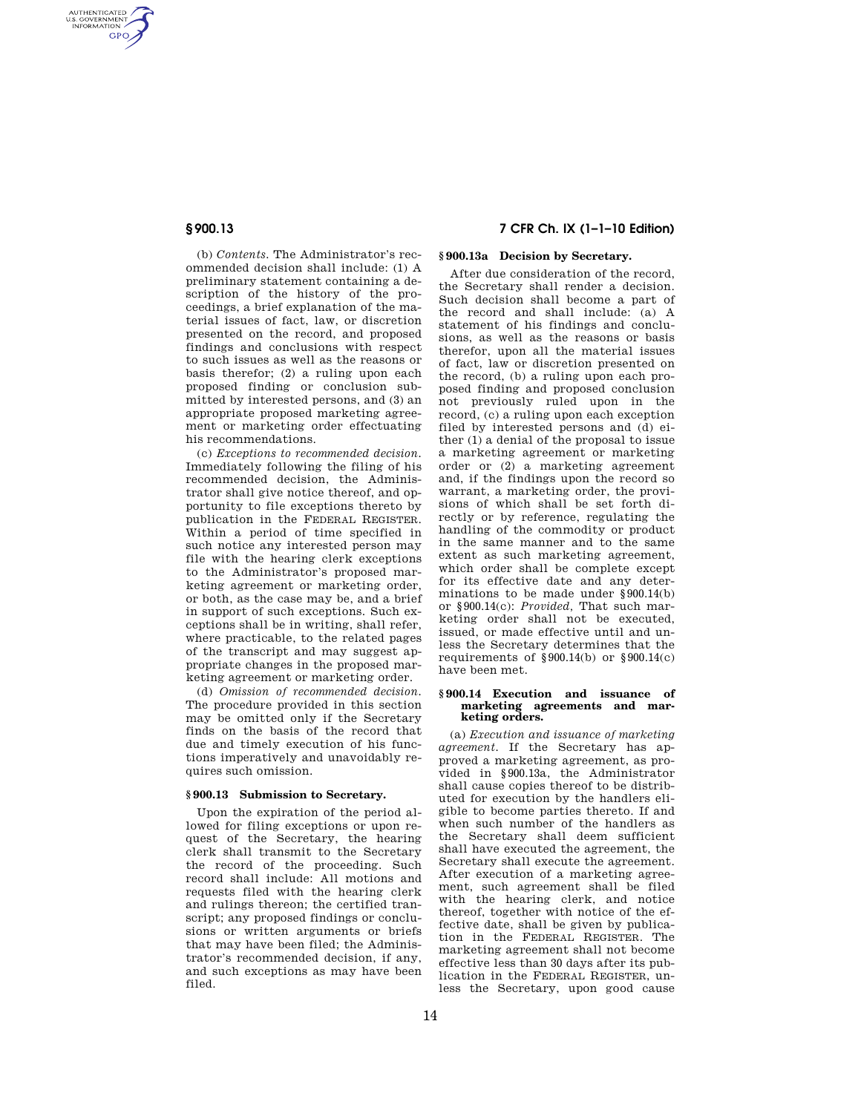AUTHENTICATED<br>U.S. GOVERNMENT<br>INFORMATION GPO

> (b) *Contents.* The Administrator's recommended decision shall include: (1) A preliminary statement containing a description of the history of the proceedings, a brief explanation of the material issues of fact, law, or discretion presented on the record, and proposed findings and conclusions with respect to such issues as well as the reasons or basis therefor; (2) a ruling upon each proposed finding or conclusion submitted by interested persons, and (3) an appropriate proposed marketing agreement or marketing order effectuating his recommendations.

> (c) *Exceptions to recommended decision.*  Immediately following the filing of his recommended decision, the Administrator shall give notice thereof, and opportunity to file exceptions thereto by publication in the FEDERAL REGISTER. Within a period of time specified in such notice any interested person may file with the hearing clerk exceptions to the Administrator's proposed marketing agreement or marketing order, or both, as the case may be, and a brief in support of such exceptions. Such exceptions shall be in writing, shall refer, where practicable, to the related pages of the transcript and may suggest appropriate changes in the proposed marketing agreement or marketing order.

> (d) *Omission of recommended decision.*  The procedure provided in this section may be omitted only if the Secretary finds on the basis of the record that due and timely execution of his functions imperatively and unavoidably requires such omission.

## **§ 900.13 Submission to Secretary.**

Upon the expiration of the period allowed for filing exceptions or upon request of the Secretary, the hearing clerk shall transmit to the Secretary the record of the proceeding. Such record shall include: All motions and requests filed with the hearing clerk and rulings thereon; the certified transcript; any proposed findings or conclusions or written arguments or briefs that may have been filed; the Administrator's recommended decision, if any, and such exceptions as may have been filed.

# **§ 900.13 7 CFR Ch. IX (1–1–10 Edition)**

## **§ 900.13a Decision by Secretary.**

After due consideration of the record, the Secretary shall render a decision. Such decision shall become a part of the record and shall include: (a) A statement of his findings and conclusions, as well as the reasons or basis therefor, upon all the material issues of fact, law or discretion presented on the record, (b) a ruling upon each proposed finding and proposed conclusion not previously ruled upon in the record, (c) a ruling upon each exception filed by interested persons and (d) either (1) a denial of the proposal to issue a marketing agreement or marketing order or (2) a marketing agreement and, if the findings upon the record so warrant, a marketing order, the provisions of which shall be set forth directly or by reference, regulating the handling of the commodity or product in the same manner and to the same extent as such marketing agreement, which order shall be complete except for its effective date and any determinations to be made under §900.14(b) or §900.14(c): *Provided,* That such marketing order shall not be executed, issued, or made effective until and unless the Secretary determines that the requirements of §900.14(b) or §900.14(c) have been met.

#### **§ 900.14 Execution and issuance of marketing agreements and marketing orders.**

(a) *Execution and issuance of marketing agreement.* If the Secretary has approved a marketing agreement, as provided in §900.13a, the Administrator shall cause copies thereof to be distributed for execution by the handlers eligible to become parties thereto. If and when such number of the handlers as the Secretary shall deem sufficient shall have executed the agreement, the Secretary shall execute the agreement. After execution of a marketing agreement, such agreement shall be filed with the hearing clerk, and notice thereof, together with notice of the effective date, shall be given by publication in the FEDERAL REGISTER. The marketing agreement shall not become effective less than 30 days after its publication in the FEDERAL REGISTER, unless the Secretary, upon good cause